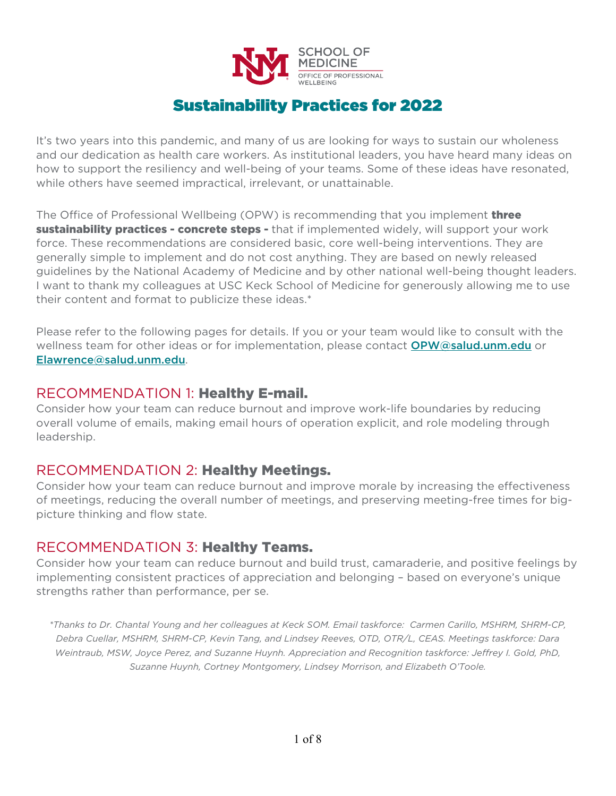

# Sustainability Practices for 2022

It's two years into this pandemic, and many of us are looking for ways to sustain our wholeness and our dedication as health care workers. As institutional leaders, you have heard many ideas on how to support the resiliency and well-being of your teams. Some of these ideas have resonated, while others have seemed impractical, irrelevant, or unattainable.

The Office of Professional Wellbeing (OPW) is recommending that you implement **three sustainability practices - concrete steps -** that if implemented widely, will support your work force. These recommendations are considered basic, core well-being interventions. They are generally simple to implement and do not cost anything. They are based on newly released guidelines by the National Academy of Medicine and by other national well-being thought leaders. I want to thank my colleagues at USC Keck School of Medicine for generously allowing me to use their content and format to publicize these ideas.\*

Please refer to the following pages for details. If you or your team would like to consult with the wellness team for other ideas or for implementation, please contact **OPW**@salud.unm.edu or [Elawrence@salud.unm.edu](mailto:Elawrence@salud.unm.edu).

## RECOMMENDATION 1: Healthy E-mail.

Consider how your team can reduce burnout and improve work-life boundaries by reducing overall volume of emails, making email hours of operation explicit, and role modeling through leadership.

## RECOMMENDATION 2: Healthy Meetings.

Consider how your team can reduce burnout and improve morale by increasing the effectiveness of meetings, reducing the overall number of meetings, and preserving meeting-free times for bigpicture thinking and flow state.

## RECOMMENDATION 3: Healthy Teams.

Consider how your team can reduce burnout and build trust, camaraderie, and positive feelings by implementing consistent practices of appreciation and belonging – based on everyone's unique strengths rather than performance, per se.

*\*Thanks to Dr. Chantal Young and her colleagues at Keck SOM. Email taskforce: Carmen Carillo, MSHRM, SHRM-CP, Debra Cuellar, MSHRM, SHRM-CP, Kevin Tang, and Lindsey Reeves, OTD, OTR/L, CEAS. Meetings taskforce: Dara Weintraub, MSW, Joyce Perez, and Suzanne Huynh. Appreciation and Recognition taskforce: Jeffrey I. Gold, PhD, Suzanne Huynh, Cortney Montgomery, Lindsey Morrison, and Elizabeth O'Toole.*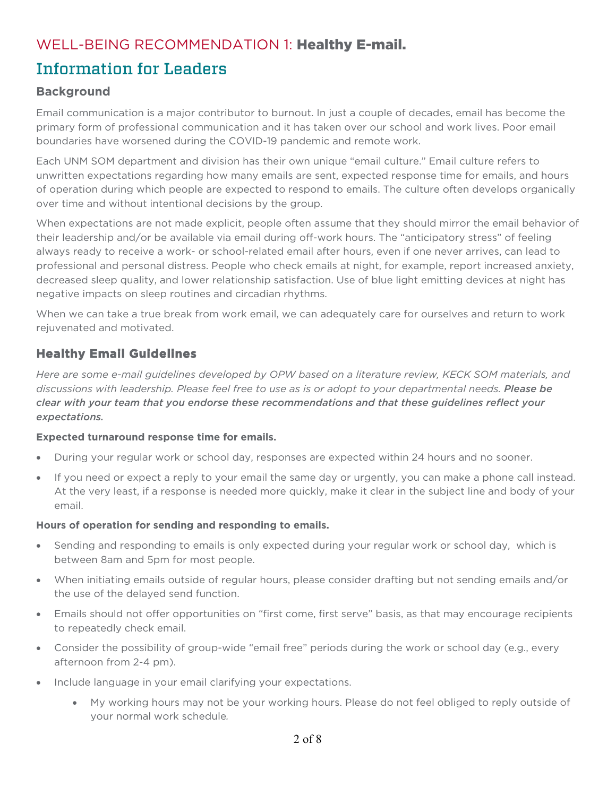# WELL-BEING RECOMMENDATION 1: Healthy E-mail.

# Information for Leaders

### **Background**

Email communication is a major contributor to burnout. In just a couple of decades, email has become the primary form of professional communication and it has taken over our school and work lives. Poor email boundaries have worsened during the COVID-19 pandemic and remote work.

Each UNM SOM department and division has their own unique "email culture." Email culture refers to unwritten expectations regarding how many emails are sent, expected response time for emails, and hours of operation during which people are expected to respond to emails. The culture often develops organically over time and without intentional decisions by the group.

When expectations are not made explicit, people often assume that they should mirror the email behavior of their leadership and/or be available via email during off-work hours. The "anticipatory stress" of feeling always ready to receive a work- or school-related email after hours, even if one never arrives, can lead to professional and personal distress. People who check emails at night, for example, report increased anxiety, decreased sleep quality, and lower relationship satisfaction. Use of blue light emitting devices at night has negative impacts on sleep routines and circadian rhythms.

When we can take a true break from work email, we can adequately care for ourselves and return to work rejuvenated and motivated.

## **Healthy Email Guidelines**

*Here are some e-mail guidelines developed by OPW based on a literature review, KECK SOM materials, and discussions with leadership. Please feel free to use as is or adopt to your departmental needs. Please be clear with your team that you endorse these recommendations and that these guidelines reflect your expectations.*

### **Expected turnaround response time for emails.**

- During your regular work or school day, responses are expected within 24 hours and no sooner.
- If you need or expect a reply to your email the same day or urgently, you can make a phone call instead. At the very least, if a response is needed more quickly, make it clear in the subject line and body of your email.

### **Hours of operation for sending and responding to emails.**

- Sending and responding to emails is only expected during your regular work or school day, which is between 8am and 5pm for most people.
- When initiating emails outside of regular hours, please consider drafting but not sending emails and/or the use of the delayed send function.
- Emails should not offer opportunities on "first come, first serve" basis, as that may encourage recipients to repeatedly check email.
- Consider the possibility of group-wide "email free" periods during the work or school day (e.g., every afternoon from 2-4 pm).
- Include language in your email clarifying your expectations.
	- My working hours may not be your working hours. Please do not feel obliged to reply outside of your normal work schedule*.*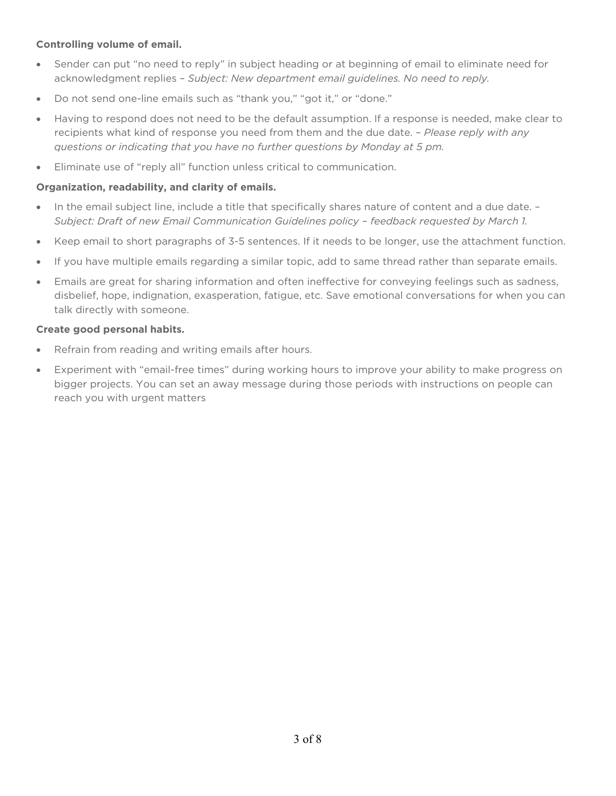### **Controlling volume of email.**

- Sender can put "no need to reply" in subject heading or at beginning of email to eliminate need for acknowledgment replies – *Subject: New department email guidelines. No need to reply.*
- Do not send one-line emails such as "thank you," "got it," or "done."
- Having to respond does not need to be the default assumption. If a response is needed, make clear to recipients what kind of response you need from them and the due date. – *Please reply with any questions or indicating that you have no further questions by Monday at 5 pm.*
- Eliminate use of "reply all" function unless critical to communication.

#### **Organization, readability, and clarity of emails.**

- In the email subject line, include a title that specifically shares nature of content and a due date. *Subject: Draft of new Email Communication Guidelines policy – feedback requested by March 1.*
- Keep email to short paragraphs of 3-5 sentences. If it needs to be longer, use the attachment function.
- If you have multiple emails regarding a similar topic, add to same thread rather than separate emails.
- Emails are great for sharing information and often ineffective for conveying feelings such as sadness, disbelief, hope, indignation, exasperation, fatigue, etc. Save emotional conversations for when you can talk directly with someone.

#### **Create good personal habits.**

- Refrain from reading and writing emails after hours.
- Experiment with "email-free times" during working hours to improve your ability to make progress on bigger projects. You can set an away message during those periods with instructions on people can reach you with urgent matters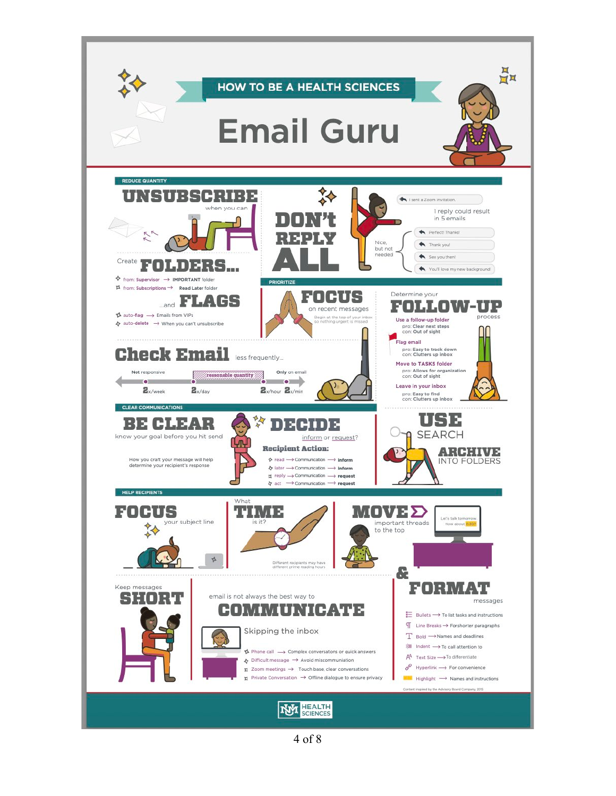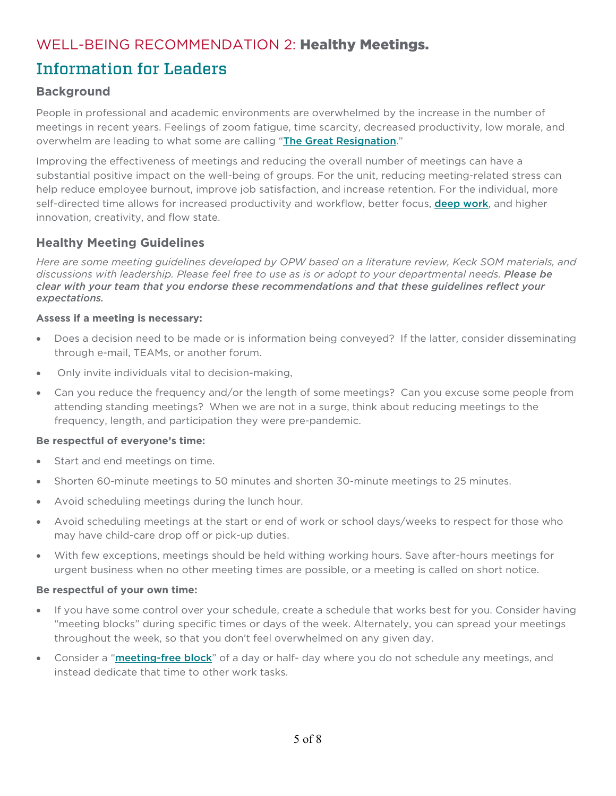# WELL-BEING RECOMMENDATION 2: Healthy Meetings.

# Information for Leaders

### **Background**

People in professional and academic environments are overwhelmed by the increase in the number of meetings in recent years. Feelings of zoom fatigue, time scarcity, decreased productivity, low morale, and overwhelm are leading to what some are calling "[The Great Resignation](https://www.ama-assn.org/practice-management/physician-health/medicine-s-great-resignation-1-5-doctors-plan-exit-2-years?utm_source=BulletinHealthCare&utm_medium=email&utm_term=022022&utm_content=physicians&utm_campaign=article_alert-morning_rounds_editors_edition)."

Improving the effectiveness of meetings and reducing the overall number of meetings can have a substantial positive impact on the well-being of groups. For the unit, reducing meeting-related stress can help reduce employee burnout, improve job satisfaction, and increase retention. For the individual, more self-directed time allows for increased productivity and workflow, better focus, **[deep work](https://www.npr.org/2017/07/25/539092670/you-2-0-the-value-of-deep-work-in-an-age-of-distraction)**, and higher innovation, creativity, and flow state.

### **Healthy Meeting Guidelines**

*Here are some meeting guidelines developed by OPW based on a literature review, Keck SOM materials, and discussions with leadership. Please feel free to use as is or adopt to your departmental needs. Please be clear with your team that you endorse these recommendations and that these guidelines reflect your expectations.*

### **Assess if a meeting is necessary:**

- Does a decision need to be made or is information being conveyed? If the latter, consider disseminating through e-mail, TEAMs, or another forum.
- Only invite individuals vital to decision-making,
- Can you reduce the frequency and/or the length of some meetings? Can you excuse some people from attending standing meetings? When we are not in a surge, think about reducing meetings to the frequency, length, and participation they were pre-pandemic.

#### **Be respectful of everyone's time:**

- Start and end meetings on time.
- Shorten 60-minute meetings to 50 minutes and shorten 30-minute meetings to 25 minutes.
- Avoid scheduling meetings during the lunch hour.
- Avoid scheduling meetings at the start or end of work or school days/weeks to respect for those who may have child-care drop off or pick-up duties.
- With few exceptions, meetings should be held withing working hours. Save after-hours meetings for urgent business when no other meeting times are possible, or a meeting is called on short notice.

#### **Be respectful of your own time:**

- If you have some control over your schedule, create a schedule that works best for you. Consider having "meeting blocks" during specific times or days of the week. Alternately, you can spread your meetings throughout the week, so that you don't feel overwhelmed on any given day.
- Consider a "[meeting-free block](https://hbr.org/2017/02/how-to-establish-a-meeting-free-day-each-week)" of a day or half- day where you do not schedule any meetings, and instead dedicate that time to other work tasks.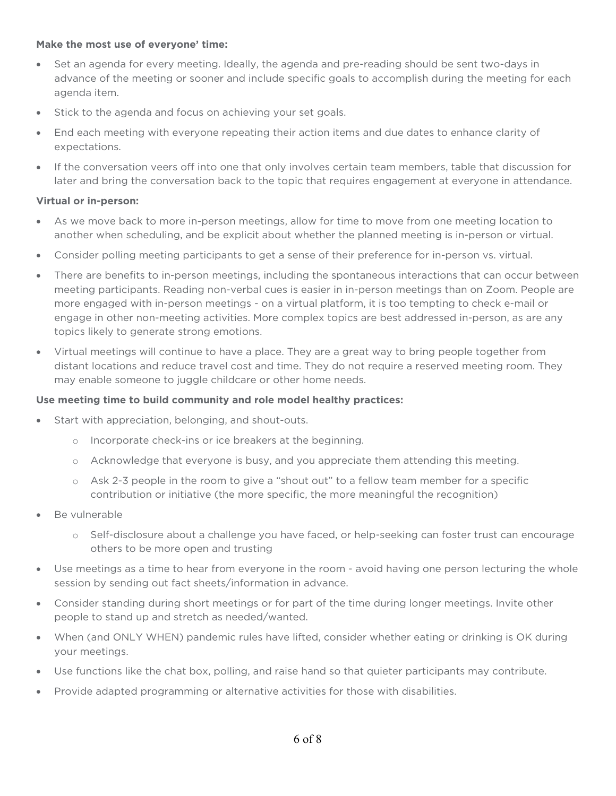#### **Make the most use of everyone' time:**

- Set an agenda for every meeting. Ideally, the agenda and pre-reading should be sent two-days in advance of the meeting or sooner and include specific goals to accomplish during the meeting for each agenda item.
- Stick to the agenda and focus on achieving your set goals.
- End each meeting with everyone repeating their action items and due dates to enhance clarity of expectations.
- If the conversation veers off into one that only involves certain team members, table that discussion for later and bring the conversation back to the topic that requires engagement at everyone in attendance.

#### **Virtual or in-person:**

- As we move back to more in-person meetings, allow for time to move from one meeting location to another when scheduling, and be explicit about whether the planned meeting is in-person or virtual.
- Consider polling meeting participants to get a sense of their preference for in-person vs. virtual.
- There are benefits to in-person meetings, including the spontaneous interactions that can occur between meeting participants. Reading non-verbal cues is easier in in-person meetings than on Zoom. People are more engaged with in-person meetings - on a virtual platform, it is too tempting to check e-mail or engage in other non-meeting activities. More complex topics are best addressed in-person, as are any topics likely to generate strong emotions.
- Virtual meetings will continue to have a place. They are a great way to bring people together from distant locations and reduce travel cost and time. They do not require a reserved meeting room. They may enable someone to juggle childcare or other home needs.

#### **Use meeting time to build community and role model healthy practices:**

- Start with appreciation, belonging, and shout-outs.
	- o Incorporate check-ins or ice breakers at the beginning.
	- o Acknowledge that everyone is busy, and you appreciate them attending this meeting.
	- o Ask 2-3 people in the room to give a "shout out" to a fellow team member for a specific contribution or initiative (the more specific, the more meaningful the recognition)
- Be vulnerable
	- o Self-disclosure about a challenge you have faced, or help-seeking can foster trust can encourage others to be more open and trusting
- Use meetings as a time to hear from everyone in the room avoid having one person lecturing the whole session by sending out fact sheets/information in advance.
- Consider standing during short meetings or for part of the time during longer meetings. Invite other people to stand up and stretch as needed/wanted.
- When (and ONLY WHEN) pandemic rules have lifted, consider whether eating or drinking is OK during your meetings.
- Use functions like the chat box, polling, and raise hand so that quieter participants may contribute.
- Provide adapted programming or alternative activities for those with disabilities.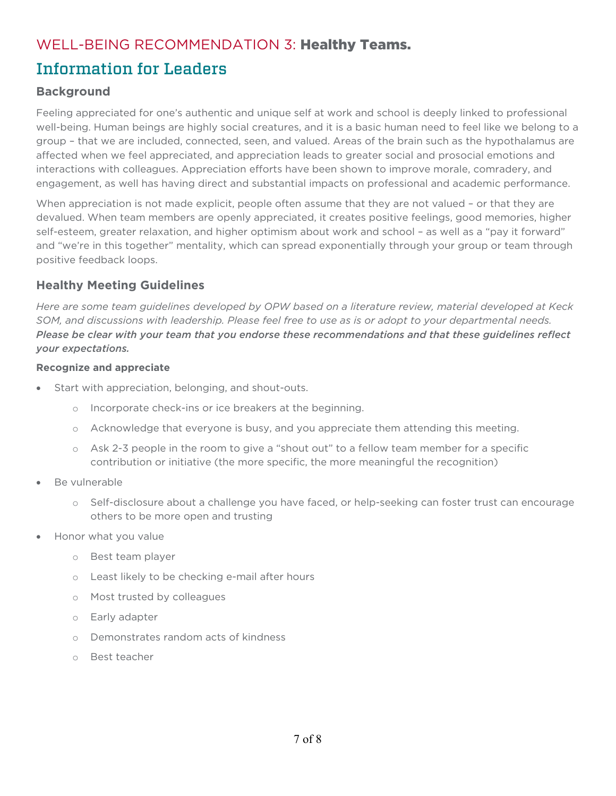# WELL-BEING RECOMMENDATION 3: Healthy Teams.

# Information for Leaders

### **Background**

Feeling appreciated for one's authentic and unique self at work and school is deeply linked to professional well-being. Human beings are highly social creatures, and it is a basic human need to feel like we belong to a group – that we are included, connected, seen, and valued. Areas of the brain such as the hypothalamus are affected when we feel appreciated, and appreciation leads to greater social and prosocial emotions and interactions with colleagues. Appreciation efforts have been shown to improve morale, comradery, and engagement, as well has having direct and substantial impacts on professional and academic performance.

When appreciation is not made explicit, people often assume that they are not valued – or that they are devalued. When team members are openly appreciated, it creates positive feelings, good memories, higher self-esteem, greater relaxation, and higher optimism about work and school – as well as a "pay it forward" and "we're in this together" mentality, which can spread exponentially through your group or team through positive feedback loops.

## **Healthy Meeting Guidelines**

*Here are some team guidelines developed by OPW based on a literature review, material developed at Keck SOM, and discussions with leadership. Please feel free to use as is or adopt to your departmental needs. Please be clear with your team that you endorse these recommendations and that these guidelines reflect your expectations.*

### **Recognize and appreciate**

- Start with appreciation, belonging, and shout-outs.
	- o Incorporate check-ins or ice breakers at the beginning.
	- o Acknowledge that everyone is busy, and you appreciate them attending this meeting.
	- o Ask 2-3 people in the room to give a "shout out" to a fellow team member for a specific contribution or initiative (the more specific, the more meaningful the recognition)
- Be vulnerable
	- o Self-disclosure about a challenge you have faced, or help-seeking can foster trust can encourage others to be more open and trusting
- Honor what you value
	- o Best team player
	- o Least likely to be checking e-mail after hours
	- o Most trusted by colleagues
	- o Early adapter
	- o Demonstrates random acts of kindness
	- o Best teacher